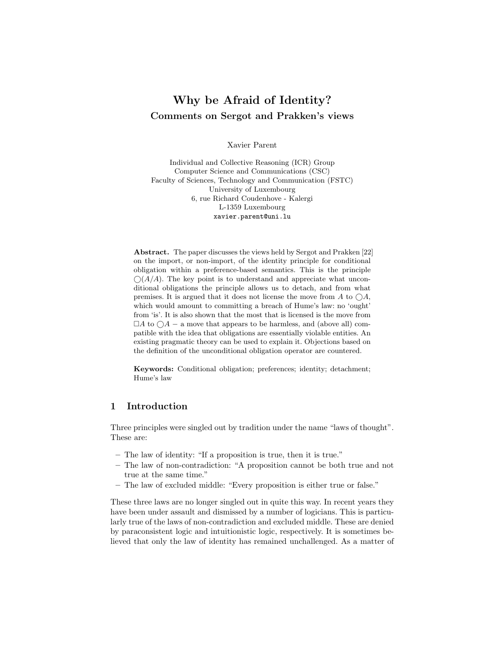# Why be Afraid of Identity? Comments on Sergot and Prakken's views

Xavier Parent

Individual and Collective Reasoning (ICR) Group Computer Science and Communications (CSC) Faculty of Sciences, Technology and Communication (FSTC) University of Luxembourg 6, rue Richard Coudenhove - Kalergi L-1359 Luxembourg xavier.parent@uni.lu

Abstract. The paper discusses the views held by Sergot and Prakken [22] on the import, or non-import, of the identity principle for conditional obligation within a preference-based semantics. This is the principle  $\bigcap (A/A)$ . The key point is to understand and appreciate what unconditional obligations the principle allows us to detach, and from what premises. It is argued that it does not license the move from  $A$  to  $\bigcirc A$ , which would amount to committing a breach of Hume's law: no 'ought' from 'is'. It is also shown that the most that is licensed is the move from  $\Box A$  to  $\bigcirc A$  – a move that appears to be harmless, and (above all) compatible with the idea that obligations are essentially violable entities. An existing pragmatic theory can be used to explain it. Objections based on the definition of the unconditional obligation operator are countered.

Keywords: Conditional obligation; preferences; identity; detachment; Hume's law

## 1 Introduction

Three principles were singled out by tradition under the name "laws of thought". These are:

- The law of identity: "If a proposition is true, then it is true."
- The law of non-contradiction: "A proposition cannot be both true and not true at the same time."
- The law of excluded middle: "Every proposition is either true or false."

These three laws are no longer singled out in quite this way. In recent years they have been under assault and dismissed by a number of logicians. This is particularly true of the laws of non-contradiction and excluded middle. These are denied by paraconsistent logic and intuitionistic logic, respectively. It is sometimes believed that only the law of identity has remained unchallenged. As a matter of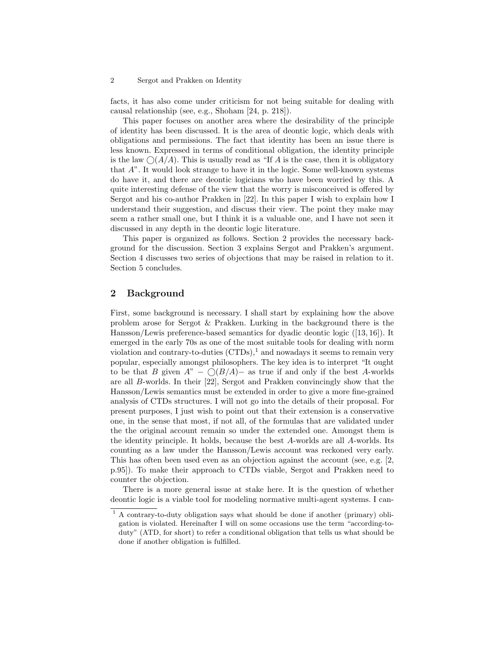facts, it has also come under criticism for not being suitable for dealing with causal relationship (see, e.g., Shoham [24, p. 218]).

This paper focuses on another area where the desirability of the principle of identity has been discussed. It is the area of deontic logic, which deals with obligations and permissions. The fact that identity has been an issue there is less known. Expressed in terms of conditional obligation, the identity principle is the law  $\bigcirc (A/A)$ . This is usually read as "If A is the case, then it is obligatory that A". It would look strange to have it in the logic. Some well-known systems do have it, and there are deontic logicians who have been worried by this. A quite interesting defense of the view that the worry is misconceived is offered by Sergot and his co-author Prakken in [22]. In this paper I wish to explain how I understand their suggestion, and discuss their view. The point they make may seem a rather small one, but I think it is a valuable one, and I have not seen it discussed in any depth in the deontic logic literature.

This paper is organized as follows. Section 2 provides the necessary background for the discussion. Section 3 explains Sergot and Prakken's argument. Section 4 discusses two series of objections that may be raised in relation to it. Section 5 concludes.

# 2 Background

First, some background is necessary. I shall start by explaining how the above problem arose for Sergot & Prakken. Lurking in the background there is the Hansson/Lewis preference-based semantics for dyadic deontic logic ([13, 16]). It emerged in the early 70s as one of the most suitable tools for dealing with norm violation and contrary-to-duties  $(CTDs)$ ,<sup>1</sup> and nowadays it seems to remain very popular, especially amongst philosophers. The key idea is to interpret "It ought to be that B given  $A^{\prime\prime}$  –  $\bigcirc (B/A)$  – as true if and only if the best A-worlds are all B-worlds. In their [22], Sergot and Prakken convincingly show that the Hansson/Lewis semantics must be extended in order to give a more fine-grained analysis of CTDs structures. I will not go into the details of their proposal. For present purposes, I just wish to point out that their extension is a conservative one, in the sense that most, if not all, of the formulas that are validated under the the original account remain so under the extended one. Amongst them is the identity principle. It holds, because the best A-worlds are all A-worlds. Its counting as a law under the Hansson/Lewis account was reckoned very early. This has often been used even as an objection against the account (see, e.g. [2, p.95]). To make their approach to CTDs viable, Sergot and Prakken need to counter the objection.

There is a more general issue at stake here. It is the question of whether deontic logic is a viable tool for modeling normative multi-agent systems. I can-

<sup>&</sup>lt;sup>1</sup> A contrary-to-duty obligation says what should be done if another (primary) obligation is violated. Hereinafter I will on some occasions use the term "according-toduty" (ATD, for short) to refer a conditional obligation that tells us what should be done if another obligation is fulfilled.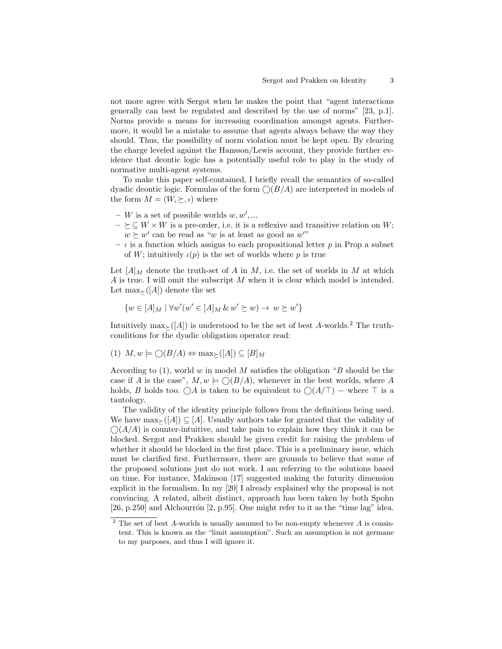not more agree with Sergot when he makes the point that "agent interactions generally can best be regulated and described by the use of norms" [23, p.1]. Norms provide a means for increasing coordination amongst agents. Furthermore, it would be a mistake to assume that agents always behave the way they should. Thus, the possibility of norm violation must be kept open. By clearing the charge leveled against the Hansson/Lewis account, they provide further evidence that deontic logic has a potentially useful role to play in the study of normative multi-agent systems.

To make this paper self-contained, I briefly recall the semantics of so-called dyadic deontic logic. Formulas of the form  $\bigcirc(B/A)$  are interpreted in models of the form  $M = (W, \succeq, \iota)$  where

- $W$  is a set of possible worlds  $w, w', ...$
- $\succeq \subseteq W \times W$  is a pre-order, i.e. it is a reflexive and transitive relation on W;  $w \succeq w'$  can be read as "w is at least as good as w'"
- $\iota$  is a function which assigns to each propositional letter p in Prop a subset of W; intuitively  $\iota(p)$  is the set of worlds where p is true

Let  $[A]_M$  denote the truth-set of A in M, i.e. the set of worlds in M at which  $A$  is true. I will omit the subscript  $M$  when it is clear which model is intended. Let  $\max_{\succ}([A])$  denote the set

$$
\{w \in [A]_M \mid \forall w'(w' \in [A]_M \& w' \succeq w) \rightarrow w \succeq w'\}
$$

Intuitively  $\max_{\geq}([A])$  is understood to be the set of best A-worlds.<sup>2</sup> The truthconditions for the dyadic obligation operator read:

$$
(1) M, w \models \bigcirc (B/A) \Leftrightarrow \max_{\succeq} ([A]) \subseteq [B]_M
$$

According to (1), world w in model M satisfies the obligation "B should be the case if A is the case",  $M, w \models \bigcirc (B/A)$ , whenever in the best worlds, where A holds, B holds too.  $\bigcap A$  is taken to be equivalent to  $\bigcap (A/\top)$  – where  $\top$  is a tautology.

The validity of the identity principle follows from the definitions being used. We have  $\max_{\succ}([A]) \subseteq [A]$ . Usually authors take for granted that the validity of  $\bigcap (A/A)$  is counter-intuitive, and take pain to explain how they think it can be blocked. Sergot and Prakken should be given credit for raising the problem of whether it should be blocked in the first place. This is a preliminary issue, which must be clarified first. Furthermore, there are grounds to believe that some of the proposed solutions just do not work. I am referring to the solutions based on time. For instance, Makinson [17] suggested making the futurity dimension explicit in the formalism. In my [20] I already explained why the proposal is not convincing. A related, albeit distinct, approach has been taken by both Spohn  $[26, p.250]$  and Alchourrón  $[2, p.95]$ . One might refer to it as the "time lag" idea.

 $2$  The set of best A-worlds is usually assumed to be non-empty whenever A is consistent. This is known as the "limit assumption". Such an assumption is not germane to my purposes, and thus I will ignore it.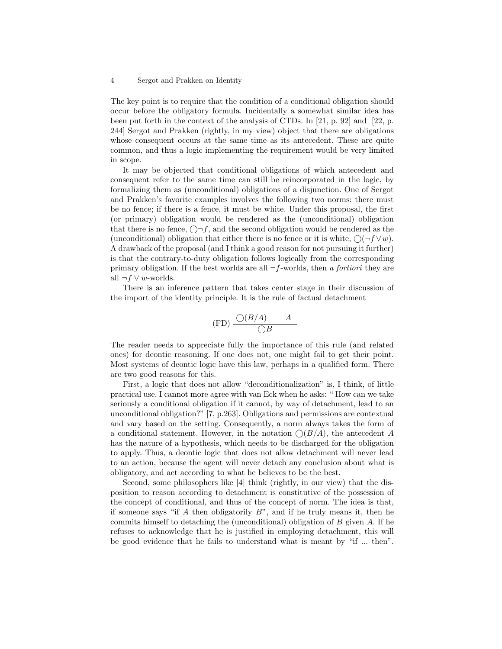The key point is to require that the condition of a conditional obligation should occur before the obligatory formula. Incidentally a somewhat similar idea has been put forth in the context of the analysis of CTDs. In [21, p. 92] and [22, p. 244] Sergot and Prakken (rightly, in my view) object that there are obligations whose consequent occurs at the same time as its antecedent. These are quite common, and thus a logic implementing the requirement would be very limited in scope.

It may be objected that conditional obligations of which antecedent and consequent refer to the same time can still be reincorporated in the logic, by formalizing them as (unconditional) obligations of a disjunction. One of Sergot and Prakken's favorite examples involves the following two norms: there must be no fence; if there is a fence, it must be white. Under this proposal, the first (or primary) obligation would be rendered as the (unconditional) obligation that there is no fence,  $\bigcirc$  -f, and the second obligation would be rendered as the (unconditional) obligation that either there is no fence or it is white,  $\bigcirc(\neg f\vee w)$ . A drawback of the proposal (and I think a good reason for not pursuing it further) is that the contrary-to-duty obligation follows logically from the corresponding primary obligation. If the best worlds are all  $\neg f$ -worlds, then a fortiori they are all  $\neg f \lor w$ -worlds.

There is an inference pattern that takes center stage in their discussion of the import of the identity principle. It is the rule of factual detachment

$$
(FD) \frac{\bigcirc (B/A)}{\bigcirc B} \qquad A
$$

The reader needs to appreciate fully the importance of this rule (and related ones) for deontic reasoning. If one does not, one might fail to get their point. Most systems of deontic logic have this law, perhaps in a qualified form. There are two good reasons for this.

First, a logic that does not allow "deconditionalization" is, I think, of little practical use. I cannot more agree with van Eck when he asks: " How can we take seriously a conditional obligation if it cannot, by way of detachment, lead to an unconditional obligation?" [7, p.263]. Obligations and permissions are contextual and vary based on the setting. Consequently, a norm always takes the form of a conditional statement. However, in the notation  $\bigcirc (B/A)$ , the antecedent A has the nature of a hypothesis, which needs to be discharged for the obligation to apply. Thus, a deontic logic that does not allow detachment will never lead to an action, because the agent will never detach any conclusion about what is obligatory, and act according to what he believes to be the best.

Second, some philosophers like [4] think (rightly, in our view) that the disposition to reason according to detachment is constitutive of the possession of the concept of conditional, and thus of the concept of norm. The idea is that, if someone says "if A then obligatorily  $B$ ", and if he truly means it, then he commits himself to detaching the (unconditional) obligation of  $B$  given  $A$ . If he refuses to acknowledge that he is justified in employing detachment, this will be good evidence that he fails to understand what is meant by "if ... then".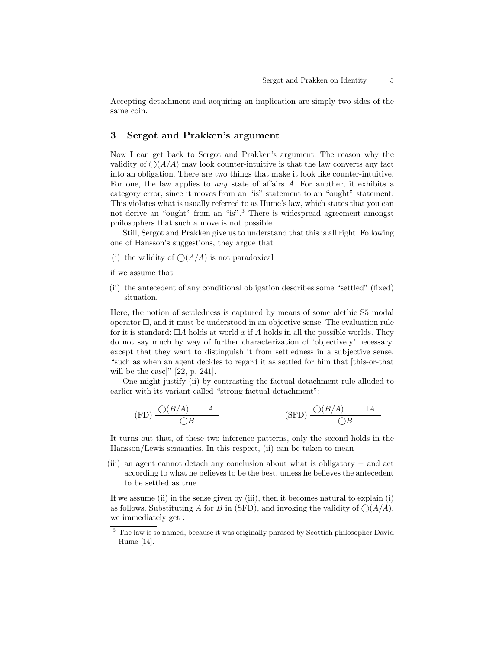Accepting detachment and acquiring an implication are simply two sides of the same coin.

## 3 Sergot and Prakken's argument

Now I can get back to Sergot and Prakken's argument. The reason why the validity of  $\bigcirc (A/A)$  may look counter-intuitive is that the law converts any fact into an obligation. There are two things that make it look like counter-intuitive. For one, the law applies to any state of affairs A. For another, it exhibits a category error, since it moves from an "is" statement to an "ought" statement. This violates what is usually referred to as Hume's law, which states that you can not derive an "ought" from an "is".<sup>3</sup> There is widespread agreement amongst philosophers that such a move is not possible.

Still, Sergot and Prakken give us to understand that this is all right. Following one of Hansson's suggestions, they argue that

(i) the validity of  $\bigcirc$  (*A*/*A*) is not paradoxical

if we assume that

(ii) the antecedent of any conditional obligation describes some "settled" (fixed) situation.

Here, the notion of settledness is captured by means of some alethic S5 modal operator  $\Box$ , and it must be understood in an objective sense. The evaluation rule for it is standard:  $\Box A$  holds at world x if A holds in all the possible worlds. They do not say much by way of further characterization of 'objectively' necessary, except that they want to distinguish it from settledness in a subjective sense, "such as when an agent decides to regard it as settled for him that [this-or-that will be the case]" [22, p. 241].

One might justify (ii) by contrasting the factual detachment rule alluded to earlier with its variant called "strong factual detachment":

(FD) 
$$
\frac{\bigcirc(B/A)}{\bigcirc B}
$$
 (SFD)  $\frac{\bigcirc(B/A)}{\bigcirc B}$   $\square A$ 

It turns out that, of these two inference patterns, only the second holds in the Hansson/Lewis semantics. In this respect, (ii) can be taken to mean

(iii) an agent cannot detach any conclusion about what is obligatory − and act according to what he believes to be the best, unless he believes the antecedent to be settled as true.

If we assume (ii) in the sense given by (iii), then it becomes natural to explain (i) as follows. Substituting A for B in (SFD), and invoking the validity of  $\bigcap (A/A)$ , we immediately get :

 $^3$  The law is so named, because it was originally phrased by Scottish philosopher David Hume [14].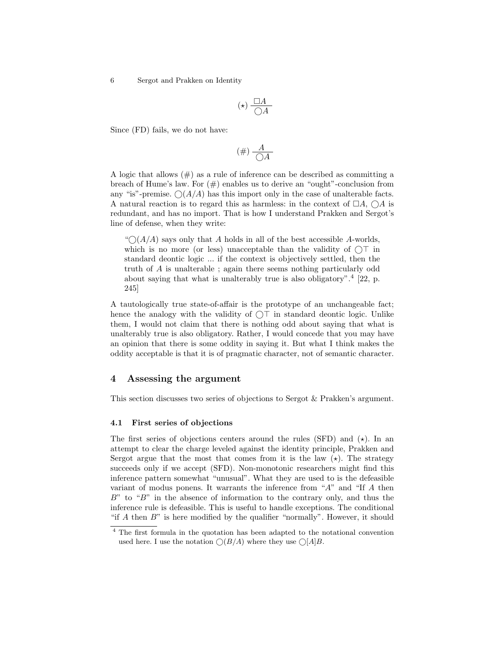$$
(\star)\ \frac{\Box A}{\bigcirc A}
$$

Since (FD) fails, we do not have:

$$
(\#) \; \frac{A}{\bigcirc A}
$$

A logic that allows  $(\#)$  as a rule of inference can be described as committing a breach of Hume's law. For  $(\#)$  enables us to derive an "ought"-conclusion from any "is"-premise.  $\bigcirc (A/A)$  has this import only in the case of unalterable facts. A natural reaction is to regard this as harmless: in the context of  $\Box A$ ,  $\bigcirc A$  is redundant, and has no import. That is how I understand Prakken and Sergot's line of defense, when they write:

" $\bigcirc$ (A/A) says only that A holds in all of the best accessible A-worlds, which is no more (or less) unacceptable than the validity of  $\bigcap$  in standard deontic logic ... if the context is objectively settled, then the truth of A is unalterable ; again there seems nothing particularly odd about saying that what is unalterably true is also obligatory".<sup>4</sup> [22, p. 245]

A tautologically true state-of-affair is the prototype of an unchangeable fact; hence the analogy with the validity of  $\bigcirc$  in standard deontic logic. Unlike them, I would not claim that there is nothing odd about saying that what is unalterably true is also obligatory. Rather, I would concede that you may have an opinion that there is some oddity in saying it. But what I think makes the oddity acceptable is that it is of pragmatic character, not of semantic character.

### 4 Assessing the argument

This section discusses two series of objections to Sergot & Prakken's argument.

#### 4.1 First series of objections

The first series of objections centers around the rules (SFD) and  $(\star)$ . In an attempt to clear the charge leveled against the identity principle, Prakken and Sergot argue that the most that comes from it is the law  $(\star)$ . The strategy succeeds only if we accept (SFD). Non-monotonic researchers might find this inference pattern somewhat "unusual". What they are used to is the defeasible variant of modus ponens. It warrants the inference from "A" and "If A then  $B$ " to " $B$ " in the absence of information to the contrary only, and thus the inference rule is defeasible. This is useful to handle exceptions. The conditional "if  $A$  then  $B$ " is here modified by the qualifier "normally". However, it should

<sup>4</sup> The first formula in the quotation has been adapted to the notational convention used here. I use the notation  $\bigcirc(B/A)$  where they use  $\bigcirc[A]B$ .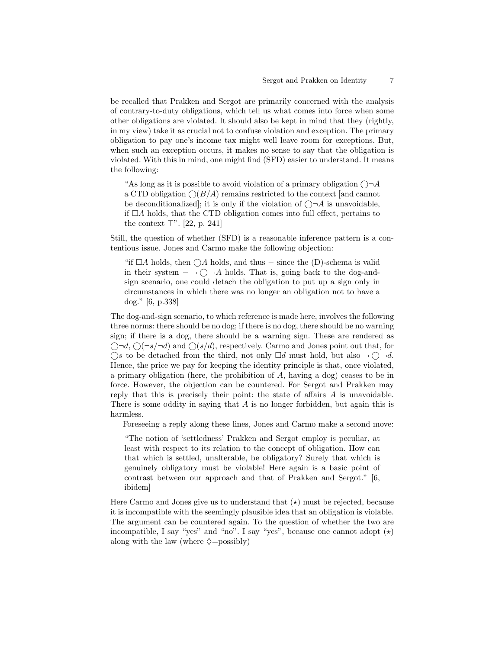be recalled that Prakken and Sergot are primarily concerned with the analysis of contrary-to-duty obligations, which tell us what comes into force when some other obligations are violated. It should also be kept in mind that they (rightly, in my view) take it as crucial not to confuse violation and exception. The primary obligation to pay one's income tax might well leave room for exceptions. But, when such an exception occurs, it makes no sense to say that the obligation is violated. With this in mind, one might find (SFD) easier to understand. It means the following:

"As long as it is possible to avoid violation of a primary obligation  $\bigcirc \neg A$ a CTD obligation  $\bigcirc (B/A)$  remains restricted to the context [and cannot be deconditionalized, it is only if the violation of  $\bigcap \neg A$  is unavoidable, if  $\Box A$  holds, that the CTD obligation comes into full effect, pertains to the context  $\top$ ". [22, p. 241]

Still, the question of whether (SFD) is a reasonable inference pattern is a contentious issue. Jones and Carmo make the following objection:

"if  $\Box A$  holds, then  $\bigcirc A$  holds, and thus – since the  $(D)$ -schema is valid in their system  $-\neg \bigcirc \neg A$  holds. That is, going back to the dog-andsign scenario, one could detach the obligation to put up a sign only in circumstances in which there was no longer an obligation not to have a dog." [6, p.338]

The dog-and-sign scenario, to which reference is made here, involves the following three norms: there should be no dog; if there is no dog, there should be no warning sign; if there is a dog, there should be a warning sign. These are rendered as  $\bigcirc \neg d$ ,  $\bigcirc (\neg s/\neg d)$  and  $\bigcirc (s/d)$ , respectively. Carmo and Jones point out that, for  $\bigcirc s$  to be detached from the third, not only  $\Box d$  must hold, but also  $\neg \bigcirc \neg d$ . Hence, the price we pay for keeping the identity principle is that, once violated, a primary obligation (here, the prohibition of A, having a dog) ceases to be in force. However, the objection can be countered. For Sergot and Prakken may reply that this is precisely their point: the state of affairs A is unavoidable. There is some oddity in saying that A is no longer forbidden, but again this is harmless.

Foreseeing a reply along these lines, Jones and Carmo make a second move:

"The notion of 'settledness' Prakken and Sergot employ is peculiar, at least with respect to its relation to the concept of obligation. How can that which is settled, unalterable, be obligatory? Surely that which is genuinely obligatory must be violable! Here again is a basic point of contrast between our approach and that of Prakken and Sergot." [6, ibidem]

Here Carmo and Jones give us to understand that  $(\star)$  must be rejected, because it is incompatible with the seemingly plausible idea that an obligation is violable. The argument can be countered again. To the question of whether the two are incompatible, I say "yes" and "no". I say "yes", because one cannot adopt  $(\star)$ along with the law (where  $\Diamond =$ possibly)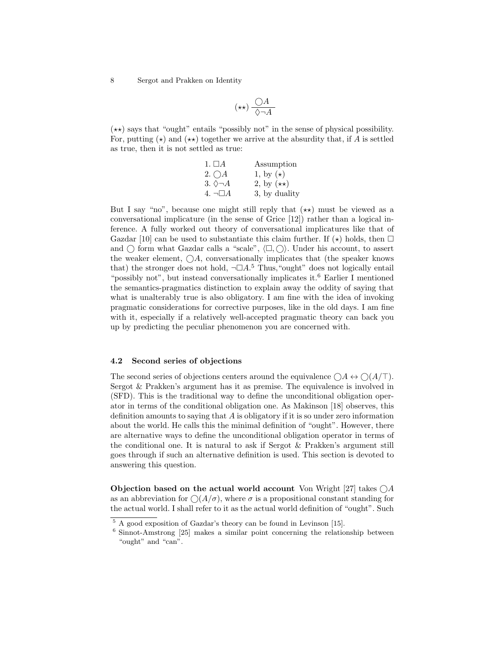$$
(\star\star)\ \frac{\bigcirc A}{\Diamond \neg A}
$$

 $(\star \star)$  says that "ought" entails "possibly not" in the sense of physical possibility. For, putting  $(\star)$  and  $(\star \star)$  together we arrive at the absurdity that, if A is settled as true, then it is not settled as true:

| $1. \sqcup A$        | Assumption            |
|----------------------|-----------------------|
| $2. \bigcirc A$      | 1, by $(\star)$       |
| $3. \Diamond \neg A$ | 2, by $(\star \star)$ |
| 4. $\neg \Box A$     | 3, by duality         |

But I say "no", because one might still reply that  $(\star \star)$  must be viewed as a conversational implicature (in the sense of Grice [12]) rather than a logical inference. A fully worked out theory of conversational implicatures like that of Gazdar [10] can be used to substantiate this claim further. If  $(\star)$  holds, then  $\Box$ and  $\cap$  form what Gazdar calls a "scale",  $\langle \Box, \bigcap \rangle$ . Under his account, to assert the weaker element,  $\bigcap A$ , conversationally implicates that (the speaker knows that) the stronger does not hold,  $\neg \Box A$ <sup>5</sup> Thus, "ought" does not logically entail "possibly not", but instead conversationally implicates it.<sup>6</sup> Earlier I mentioned the semantics-pragmatics distinction to explain away the oddity of saying that what is unalterably true is also obligatory. I am fine with the idea of invoking pragmatic considerations for corrective purposes, like in the old days. I am fine with it, especially if a relatively well-accepted pragmatic theory can back you up by predicting the peculiar phenomenon you are concerned with.

#### 4.2 Second series of objections

The second series of objections centers around the equivalence  $\bigcap A \leftrightarrow \bigcap (A/\top)$ . Sergot & Prakken's argument has it as premise. The equivalence is involved in (SFD). This is the traditional way to define the unconditional obligation operator in terms of the conditional obligation one. As Makinson [18] observes, this definition amounts to saying that  $A$  is obligatory if it is so under zero information about the world. He calls this the minimal definition of "ought". However, there are alternative ways to define the unconditional obligation operator in terms of the conditional one. It is natural to ask if Sergot & Prakken's argument still goes through if such an alternative definition is used. This section is devoted to answering this question.

Objection based on the actual world account Von Wright [27] takes  $\bigcirc A$ as an abbreviation for  $\bigcirc (A/\sigma)$ , where  $\sigma$  is a propositional constant standing for the actual world. I shall refer to it as the actual world definition of "ought". Such

 $\frac{5}{6}$  A good exposition of Gazdar's theory can be found in Levinson [15].

<sup>6</sup> Sinnot-Amstrong [25] makes a similar point concerning the relationship between "ought" and "can".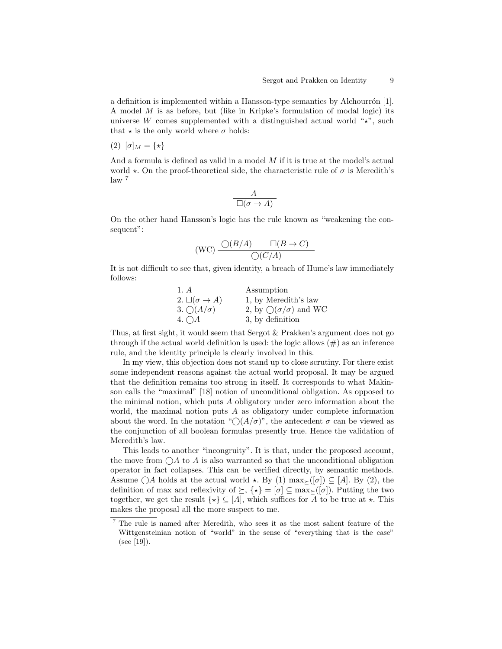a definition is implemented within a Hansson-type semantics by Alchourrón  $[1]$ . A model M is as before, but (like in Kripke's formulation of modal logic) its universe W comes supplemented with a distinguished actual world " $\star$ ", such that  $\star$  is the only world where  $\sigma$  holds:

(2)  $[\sigma]_M = {\star}$ 

And a formula is defined as valid in a model M if it is true at the model's actual world  $\star$ . On the proof-theoretical side, the characteristic rule of  $\sigma$  is Meredith's  $\text{law}$  7

$$
\frac{A}{\Box(\sigma \to A)}
$$

On the other hand Hansson's logic has the rule known as "weakening the consequent":

$$
(\text{WC}) \ \frac{\bigcirc (B/A)}{\bigcirc (C/A)} \ \frac{\Box(B \to C)}{\bigcirc
$$

It is not difficult to see that, given identity, a breach of Hume's law immediately follows:

| 1. A                            | Assumption                                  |
|---------------------------------|---------------------------------------------|
| $2. \Box(\sigma \rightarrow A)$ | 1, by Meredith's law                        |
| $3. \bigcirc (A/\sigma)$        | 2, by $\bigcirc$ ( $\sigma/\sigma$ ) and WC |
| 4. OA                           | 3, by definition                            |

Thus, at first sight, it would seem that Sergot & Prakken's argument does not go through if the actual world definition is used: the logic allows  $(\#)$  as an inference rule, and the identity principle is clearly involved in this.

In my view, this objection does not stand up to close scrutiny. For there exist some independent reasons against the actual world proposal. It may be argued that the definition remains too strong in itself. It corresponds to what Makinson calls the "maximal" [18] notion of unconditional obligation. As opposed to the minimal notion, which puts A obligatory under zero information about the world, the maximal notion puts A as obligatory under complete information about the word. In the notation " $\bigcirc (A/\sigma)$ ", the antecedent  $\sigma$  can be viewed as the conjunction of all boolean formulas presently true. Hence the validation of Meredith's law.

This leads to another "incongruity". It is that, under the proposed account, the move from  $\bigcirc$  A to A is also warranted so that the unconditional obligation operator in fact collapses. This can be verified directly, by semantic methods. Assume  $\bigcirc A$  holds at the actual world  $\star$ . By (1) max $\bigcirc$  ([ $\sigma$ ])  $\subseteq$  [A]. By (2), the definition of max and reflexivity of  $\succeq$ ,  $\{\star\} = [\sigma] \subseteq \max_{\succ}([\sigma])$ . Putting the two together, we get the result  $\{\star\} \subseteq [A]$ , which suffices for A to be true at  $\star$ . This makes the proposal all the more suspect to me.

<sup>7</sup> The rule is named after Meredith, who sees it as the most salient feature of the Wittgensteinian notion of "world" in the sense of "everything that is the case" (see [19]).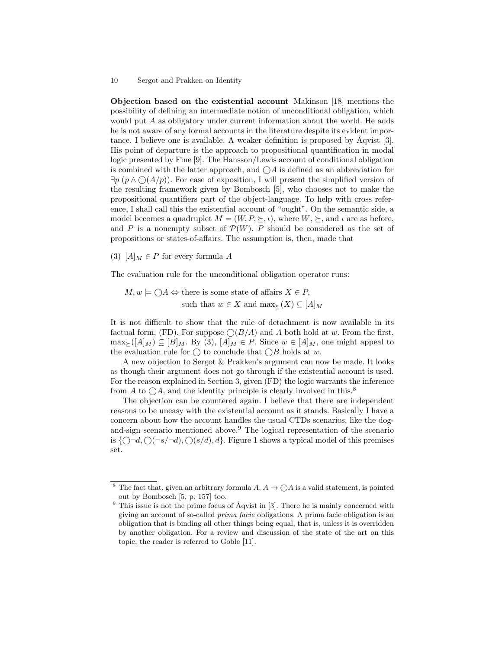Objection based on the existential account Makinson [18] mentions the possibility of defining an intermediate notion of unconditional obligation, which would put A as obligatory under current information about the world. He adds he is not aware of any formal accounts in the literature despite its evident importance. I believe one is available. A weaker definition is proposed by  $\tilde{A}$ qvist [3]. His point of departure is the approach to propositional quantification in modal logic presented by Fine [9]. The Hansson/Lewis account of conditional obligation is combined with the latter approach, and  $\bigcirc A$  is defined as an abbreviation for  $\exists p \ (p \wedge \bigcirc (A/p))$ . For ease of exposition, I will present the simplified version of the resulting framework given by Bombosch [5], who chooses not to make the propositional quantifiers part of the object-language. To help with cross reference, I shall call this the existential account of "ought". On the semantic side, a model becomes a quadruplet  $M = (W, P, \succeq, \iota)$ , where  $W, \succeq$ , and  $\iota$  are as before, and P is a nonempty subset of  $\mathcal{P}(W)$ . P should be considered as the set of propositions or states-of-affairs. The assumption is, then, made that

(3)  $[A]_M \in P$  for every formula A

The evaluation rule for the unconditional obligation operator runs:

 $M, w \models \bigcirc A \Leftrightarrow$  there is some state of affairs  $X \in P$ , such that  $w \in X$  and  $\max_{\succ} (X) \subseteq [A]_M$ 

It is not difficult to show that the rule of detachment is now available in its factual form, (FD). For suppose  $\bigcirc(B/A)$  and A both hold at w. From the first,  $\max_{\succ}([A]_M) \subseteq [B]_M$ . By (3),  $[A]_M \in P$ . Since  $w \in [A]_M$ , one might appeal to the evaluation rule for  $\bigcirc$  to conclude that  $\bigcirc B$  holds at w.

A new objection to Sergot & Prakken's argument can now be made. It looks as though their argument does not go through if the existential account is used. For the reason explained in Section 3, given (FD) the logic warrants the inference from A to  $\bigcirc$ A, and the identity principle is clearly involved in this.<sup>8</sup>

The objection can be countered again. I believe that there are independent reasons to be uneasy with the existential account as it stands. Basically I have a concern about how the account handles the usual CTDs scenarios, like the dogand-sign scenario mentioned above.<sup>9</sup> The logical representation of the scenario is  $\{\bigcap \neg d, \bigcap (\neg s/\neg d), \bigcap (s/d), d\}$ . Figure 1 shows a typical model of this premises set.

<sup>&</sup>lt;sup>8</sup> The fact that, given an arbitrary formula  $A, A \rightarrow \bigcirc A$  is a valid statement, is pointed out by Bombosch [5, p. 157] too.

 $9$  This issue is not the prime focus of Åqvist in [3]. There he is mainly concerned with giving an account of so-called prima facie obligations. A prima facie obligation is an obligation that is binding all other things being equal, that is, unless it is overridden by another obligation. For a review and discussion of the state of the art on this topic, the reader is referred to Goble [11].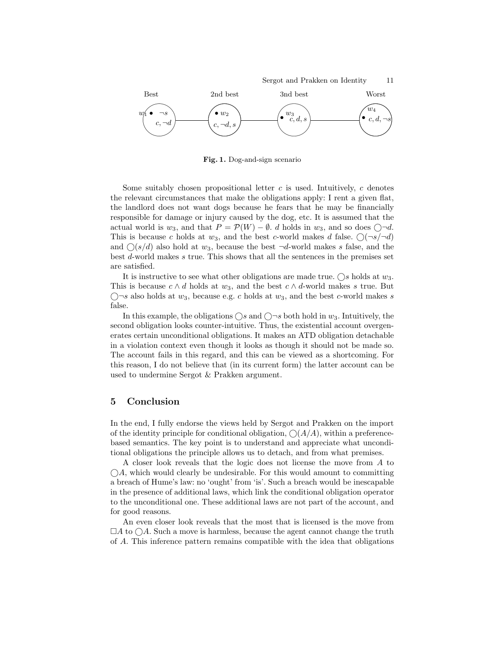

Fig. 1. Dog-and-sign scenario

Some suitably chosen propositional letter  $c$  is used. Intuitively,  $c$  denotes the relevant circumstances that make the obligations apply: I rent a given flat, the landlord does not want dogs because he fears that he may be financially responsible for damage or injury caused by the dog, etc. It is assumed that the actual world is  $w_3$ , and that  $P = \mathcal{P}(W) - \emptyset$ . d holds in  $w_3$ , and so does  $\bigcirc \neg d$ . This is because c holds at  $w_3$ , and the best c-world makes d false.  $\bigcirc (\neg s/\neg d)$ and  $\bigcirc(s/d)$  also hold at  $w_3$ , because the best  $\neg d$ -world makes s false, and the best d-world makes s true. This shows that all the sentences in the premises set are satisfied.

It is instructive to see what other obligations are made true.  $\bigcap s$  holds at  $w_3$ . This is because  $c \wedge d$  holds at  $w_3$ , and the best  $c \wedge d$ -world makes s true. But  $\bigcirc\neg s$  also holds at  $w_3,$  because e.g.  $c$  holds at  $w_3,$  and the best  $c\text{-world makes }s$ false.

In this example, the obligations  $\bigcirc s$  and  $\bigcirc \neg s$  both hold in  $w_3$ . Intuitively, the second obligation looks counter-intuitive. Thus, the existential account overgenerates certain unconditional obligations. It makes an ATD obligation detachable in a violation context even though it looks as though it should not be made so. The account fails in this regard, and this can be viewed as a shortcoming. For this reason, I do not believe that (in its current form) the latter account can be used to undermine Sergot & Prakken argument.

## 5 Conclusion

In the end, I fully endorse the views held by Sergot and Prakken on the import of the identity principle for conditional obligation,  $\bigcirc (A/A)$ , within a preferencebased semantics. The key point is to understand and appreciate what unconditional obligations the principle allows us to detach, and from what premises.

A closer look reveals that the logic does not license the move from A to  $\bigcirc A$ , which would clearly be undesirable. For this would amount to committing a breach of Hume's law: no 'ought' from 'is'. Such a breach would be inescapable in the presence of additional laws, which link the conditional obligation operator to the unconditional one. These additional laws are not part of the account, and for good reasons.

An even closer look reveals that the most that is licensed is the move from  $\Box A$  to  $\bigcirc$  A. Such a move is harmless, because the agent cannot change the truth of A. This inference pattern remains compatible with the idea that obligations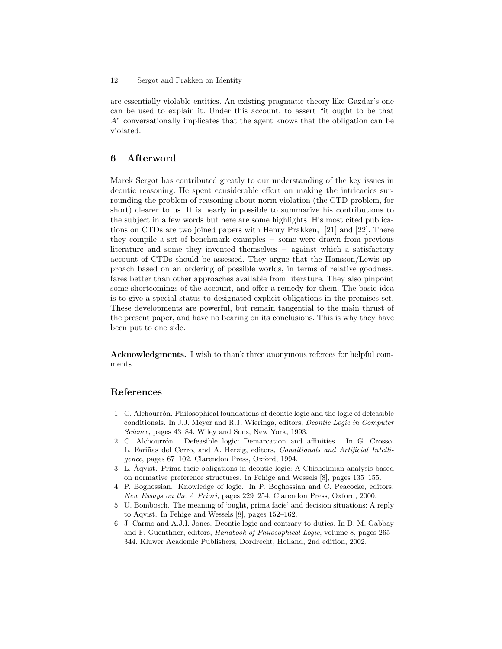are essentially violable entities. An existing pragmatic theory like Gazdar's one can be used to explain it. Under this account, to assert "it ought to be that A" conversationally implicates that the agent knows that the obligation can be violated.

# 6 Afterword

Marek Sergot has contributed greatly to our understanding of the key issues in deontic reasoning. He spent considerable effort on making the intricacies surrounding the problem of reasoning about norm violation (the CTD problem, for short) clearer to us. It is nearly impossible to summarize his contributions to the subject in a few words but here are some highlights. His most cited publications on CTDs are two joined papers with Henry Prakken, [21] and [22]. There they compile a set of benchmark examples − some were drawn from previous literature and some they invented themselves − against which a satisfactory account of CTDs should be assessed. They argue that the Hansson/Lewis approach based on an ordering of possible worlds, in terms of relative goodness, fares better than other approaches available from literature. They also pinpoint some shortcomings of the account, and offer a remedy for them. The basic idea is to give a special status to designated explicit obligations in the premises set. These developments are powerful, but remain tangential to the main thrust of the present paper, and have no bearing on its conclusions. This is why they have been put to one side.

Acknowledgments. I wish to thank three anonymous referees for helpful comments.

# References

- 1. C. Alchourr´on. Philosophical foundations of deontic logic and the logic of defeasible conditionals. In J.J. Meyer and R.J. Wieringa, editors, Deontic Logic in Computer Science, pages 43–84. Wiley and Sons, New York, 1993.
- 2. C. Alchourrón. Defeasible logic: Demarcation and affinities. In G. Crosso, L. Fariñas del Cerro, and A. Herzig, editors, Conditionals and Artificial Intelligence, pages 67–102. Clarendon Press, Oxford, 1994.
- 3. L. Åqvist. Prima facie obligations in deontic logic: A Chisholmian analysis based on normative preference structures. In Fehige and Wessels [8], pages 135–155.
- 4. P. Boghossian. Knowledge of logic. In P. Boghossian and C. Peacocke, editors, New Essays on the A Priori, pages 229–254. Clarendon Press, Oxford, 2000.
- 5. U. Bombosch. The meaning of 'ought, prima facie' and decision situations: A reply to Aqvist. In Fehige and Wessels [8], pages 152–162.
- 6. J. Carmo and A.J.I. Jones. Deontic logic and contrary-to-duties. In D. M. Gabbay and F. Guenthner, editors, Handbook of Philosophical Logic, volume 8, pages 265– 344. Kluwer Academic Publishers, Dordrecht, Holland, 2nd edition, 2002.